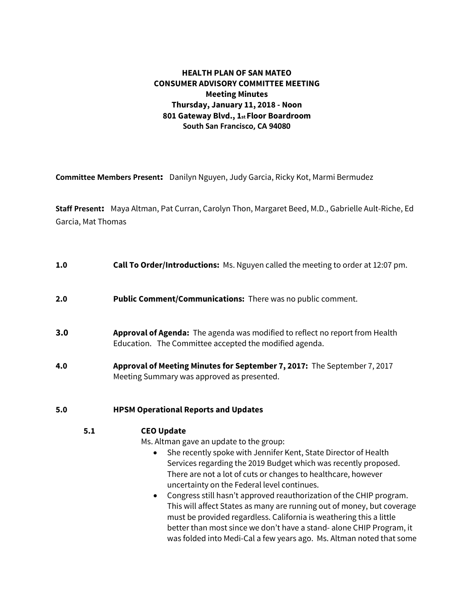# **HEALTH PLAN OF SAN MATEO CONSUMER ADVISORY COMMITTEE MEETING Meeting Minutes Thursday, January 11, 2018 - Noon 801 Gateway Blvd., 1st Floor Boardroom South San Francisco, CA 94080**

**Committee Members Present**: Danilyn Nguyen, Judy Garcia, Ricky Kot, Marmi Bermudez

**Staff Present**: Maya Altman, Pat Curran, Carolyn Thon, Margaret Beed, M.D., Gabrielle Ault-Riche, Ed Garcia, Mat Thomas

- **1.0 Call To Order/Introductions:** Ms. Nguyen called the meeting to order at 12:07 pm.
- **2.0 Public Comment/Communications:** There was no public comment.
- **3.0 Approval of Agenda:** The agenda was modified to reflect no report from Health Education. The Committee accepted the modified agenda.
- **4.0 Approval of Meeting Minutes for September 7, 2017:** The September 7, 2017 Meeting Summary was approved as presented.

### **5.0 HPSM Operational Reports and Updates**

### **5.1 CEO Update**

Ms. Altman gave an update to the group:

- She recently spoke with Jennifer Kent, State Director of Health Services regarding the 2019 Budget which was recently proposed. There are not a lot of cuts or changes to healthcare, however uncertainty on the Federal level continues.
- Congress still hasn't approved reauthorization of the CHIP program. This will affect States as many are running out of money, but coverage must be provided regardless. California is weathering this a little better than most since we don't have a stand- alone CHIP Program, it was folded into Medi-Cal a few years ago. Ms. Altman noted that some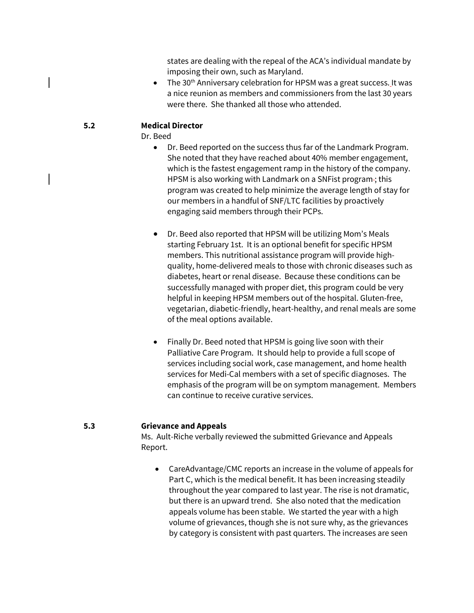states are dealing with the repeal of the ACA's individual mandate by imposing their own, such as Maryland.

 $\bullet$  The 30<sup>th</sup> Anniversary celebration for HPSM was a great success. It was a nice reunion as members and commissioners from the last 30 years were there. She thanked all those who attended.

### **5.2 Medical Director**

Dr. Beed

- Dr. Beed reported on the success thus far of the Landmark Program. She noted that they have reached about 40% member engagement, which is the fastest engagement ramp in the history of the company. HPSM is also working with Landmark on a SNFist program-; this program was created to help minimize the average length of stay for our members in a handful of SNF/LTC facilities by proactively engaging said members through their PCPs.
- Dr. Beed also reported that HPSM will be utilizing Mom's Meals starting February 1st. It is an optional benefit for specific HPSM members. This nutritional assistance program will provide highquality, home-delivered meals to those with chronic diseases such as diabetes, heart or renal disease. Because these conditions can be successfully managed with proper diet, this program could be very helpful in keeping HPSM members out of the hospital. Gluten-free, vegetarian, diabetic-friendly, heart-healthy, and renal meals are some of the meal options available.
- Finally Dr. Beed noted that HPSM is going live soon with their Palliative Care Program. It should help to provide a full scope of services including social work, case management, and home health services for Medi-Cal members with a set of specific diagnoses. The emphasis of the program will be on symptom management. Members can continue to receive curative services.

### **5.3 Grievance and Appeals**

Ms. Ault-Riche verbally reviewed the submitted Grievance and Appeals Report.

• CareAdvantage/CMC reports an increase in the volume of appeals for Part C, which is the medical benefit. It has been increasing steadily throughout the year compared to last year. The rise is not dramatic, but there is an upward trend. She also noted that the medication appeals volume has been stable. We started the year with a high volume of grievances, though she is not sure why, as the grievances by category is consistent with past quarters. The increases are seen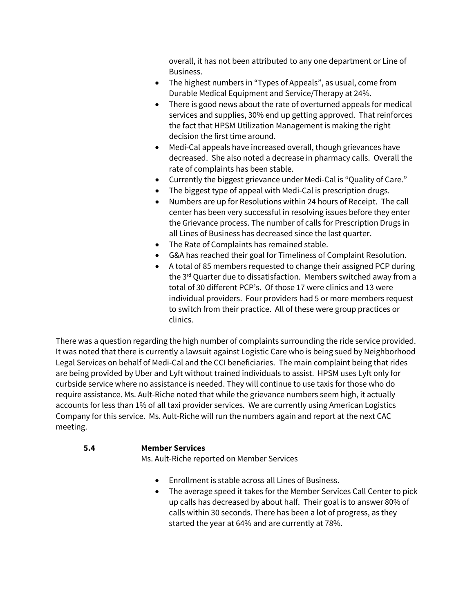overall, it has not been attributed to any one department or Line of Business.

- The highest numbers in "Types of Appeals", as usual, come from Durable Medical Equipment and Service/Therapy at 24%.
- There is good news about the rate of overturned appeals for medical services and supplies, 30% end up getting approved. That reinforces the fact that HPSM Utilization Management is making the right decision the first time around.
- Medi-Cal appeals have increased overall, though grievances have decreased. She also noted a decrease in pharmacy calls. Overall the rate of complaints has been stable.
- Currently the biggest grievance under Medi-Cal is "Quality of Care."
- The biggest type of appeal with Medi-Cal is prescription drugs.
- Numbers are up for Resolutions within 24 hours of Receipt. The call center has been very successful in resolving issues before they enter the Grievance process. The number of calls for Prescription Drugs in all Lines of Business has decreased since the last quarter.
- The Rate of Complaints has remained stable.
- G&A has reached their goal for Timeliness of Complaint Resolution.
- A total of 85 members requested to change their assigned PCP during the 3<sup>rd</sup> Quarter due to dissatisfaction. Members switched away from a total of 30 different PCP's. Of those 17 were clinics and 13 were individual providers. Four providers had 5 or more members request to switch from their practice. All of these were group practices or clinics.

There was a question regarding the high number of complaints surrounding the ride service provided. It was noted that there is currently a lawsuit against Logistic Care who is being sued by Neighborhood Legal Services on behalf of Medi-Cal and the CCI beneficiaries. The main complaint being that rides are being provided by Uber and Lyft without trained individuals to assist. HPSM uses Lyft only for curbside service where no assistance is needed. They will continue to use taxis for those who do require assistance. Ms. Ault-Riche noted that while the grievance numbers seem high, it actually accounts for less than 1% of all taxi provider services. We are currently using American Logistics Company for this service. Ms. Ault-Riche will run the numbers again and report at the next CAC meeting.

#### **5.4 Member Services**

Ms. Ault-Riche reported on Member Services

- Enrollment is stable across all Lines of Business.
- The average speed it takes for the Member Services Call Center to pick up calls has decreased by about half. Their goal is to answer 80% of calls within 30 seconds. There has been a lot of progress, as they started the year at 64% and are currently at 78%.